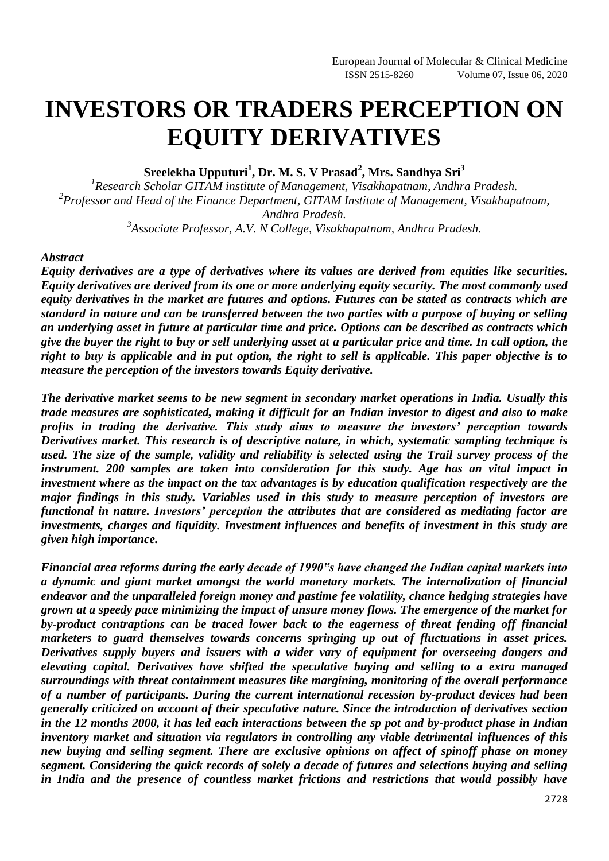# **INVESTORS OR TRADERS PERCEPTION ON EQUITY DERIVATIVES**

**Sreelekha Upputuri<sup>1</sup> , Dr. M. S. V Prasad<sup>2</sup> , Mrs. Sandhya Sri<sup>3</sup>**

*1 Research Scholar GITAM institute of Management, Visakhapatnam, Andhra Pradesh. 2 Professor and Head of the Finance Department, GITAM Institute of Management, Visakhapatnam, Andhra Pradesh.*

*3 Associate Professor, A.V. N College, Visakhapatnam, Andhra Pradesh.*

#### *Abstract*

*Equity derivatives are a type of derivatives where its values are derived from equities like securities. Equity derivatives are derived from its one or more underlying equity security. The most commonly used equity derivatives in the market are futures and options. Futures can be stated as contracts which are standard in nature and can be transferred between the two parties with a purpose of buying or selling an underlying asset in future at particular time and price. Options can be described as contracts which give the buyer the right to buy or sell underlying asset at a particular price and time. In call option, the right to buy is applicable and in put option, the right to sell is applicable. This paper objective is to measure the perception of the investors towards Equity derivative.*

*The derivative market seems to be new segment in secondary market operations in India. Usually this trade measures are sophisticated, making it difficult for an Indian investor to digest and also to make profits in trading the derivative. This study aims to measure the investors' perception towards Derivatives market. This research is of descriptive nature, in which, systematic sampling technique is used. The size of the sample, validity and reliability is selected using the Trail survey process of the instrument. 200 samples are taken into consideration for this study. Age has an vital impact in investment where as the impact on the tax advantages is by education qualification respectively are the major findings in this study. Variables used in this study to measure perception of investors are functional in nature. Investors' perception the attributes that are considered as mediating factor are investments, charges and liquidity. Investment influences and benefits of investment in this study are given high importance.*

*Financial area reforms during the early decade of 1990"s have changed the Indian capital markets into a dynamic and giant market amongst the world monetary markets. The internalization of financial endeavor and the unparalleled foreign money and pastime fee volatility, chance hedging strategies have grown at a speedy pace minimizing the impact of unsure money flows. The emergence of the market for by-product contraptions can be traced lower back to the eagerness of threat fending off financial marketers to guard themselves towards concerns springing up out of fluctuations in asset prices. Derivatives supply buyers and issuers with a wider vary of equipment for overseeing dangers and elevating capital. Derivatives have shifted the speculative buying and selling to a extra managed surroundings with threat containment measures like margining, monitoring of the overall performance of a number of participants. During the current international recession by-product devices had been generally criticized on account of their speculative nature. Since the introduction of derivatives section in the 12 months 2000, it has led each interactions between the sp pot and by-product phase in Indian inventory market and situation via regulators in controlling any viable detrimental influences of this new buying and selling segment. There are exclusive opinions on affect of spinoff phase on money segment. Considering the quick records of solely a decade of futures and selections buying and selling in India and the presence of countless market frictions and restrictions that would possibly have*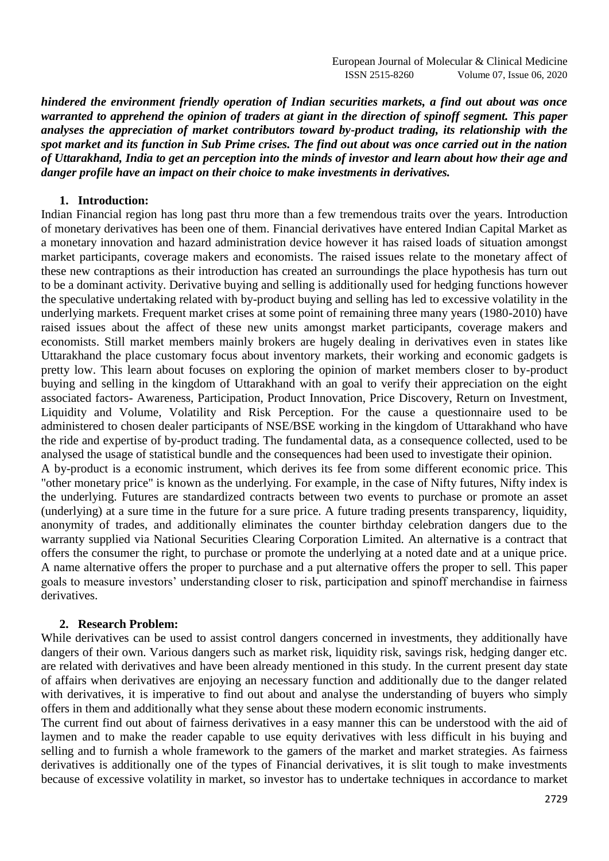*hindered the environment friendly operation of Indian securities markets, a find out about was once warranted to apprehend the opinion of traders at giant in the direction of spinoff segment. This paper analyses the appreciation of market contributors toward by-product trading, its relationship with the spot market and its function in Sub Prime crises. The find out about was once carried out in the nation of Uttarakhand, India to get an perception into the minds of investor and learn about how their age and danger profile have an impact on their choice to make investments in derivatives.*

#### **1. Introduction:**

Indian Financial region has long past thru more than a few tremendous traits over the years. Introduction of monetary derivatives has been one of them. Financial derivatives have entered Indian Capital Market as a monetary innovation and hazard administration device however it has raised loads of situation amongst market participants, coverage makers and economists. The raised issues relate to the monetary affect of these new contraptions as their introduction has created an surroundings the place hypothesis has turn out to be a dominant activity. Derivative buying and selling is additionally used for hedging functions however the speculative undertaking related with by-product buying and selling has led to excessive volatility in the underlying markets. Frequent market crises at some point of remaining three many years (1980-2010) have raised issues about the affect of these new units amongst market participants, coverage makers and economists. Still market members mainly brokers are hugely dealing in derivatives even in states like Uttarakhand the place customary focus about inventory markets, their working and economic gadgets is pretty low. This learn about focuses on exploring the opinion of market members closer to by-product buying and selling in the kingdom of Uttarakhand with an goal to verify their appreciation on the eight associated factors- Awareness, Participation, Product Innovation, Price Discovery, Return on Investment, Liquidity and Volume, Volatility and Risk Perception. For the cause a questionnaire used to be administered to chosen dealer participants of NSE/BSE working in the kingdom of Uttarakhand who have the ride and expertise of by-product trading. The fundamental data, as a consequence collected, used to be analysed the usage of statistical bundle and the consequences had been used to investigate their opinion. A by-product is a economic instrument, which derives its fee from some different economic price. This

"other monetary price" is known as the underlying. For example, in the case of Nifty futures, Nifty index is the underlying. Futures are standardized contracts between two events to purchase or promote an asset (underlying) at a sure time in the future for a sure price. A future trading presents transparency, liquidity, anonymity of trades, and additionally eliminates the counter birthday celebration dangers due to the warranty supplied via National Securities Clearing Corporation Limited. An alternative is a contract that offers the consumer the right, to purchase or promote the underlying at a noted date and at a unique price. A name alternative offers the proper to purchase and a put alternative offers the proper to sell. This paper goals to measure investors' understanding closer to risk, participation and spinoff merchandise in fairness derivatives.

#### **2. Research Problem:**

While derivatives can be used to assist control dangers concerned in investments, they additionally have dangers of their own. Various dangers such as market risk, liquidity risk, savings risk, hedging danger etc. are related with derivatives and have been already mentioned in this study. In the current present day state of affairs when derivatives are enjoying an necessary function and additionally due to the danger related with derivatives, it is imperative to find out about and analyse the understanding of buyers who simply offers in them and additionally what they sense about these modern economic instruments.

The current find out about of fairness derivatives in a easy manner this can be understood with the aid of laymen and to make the reader capable to use equity derivatives with less difficult in his buying and selling and to furnish a whole framework to the gamers of the market and market strategies. As fairness derivatives is additionally one of the types of Financial derivatives, it is slit tough to make investments because of excessive volatility in market, so investor has to undertake techniques in accordance to market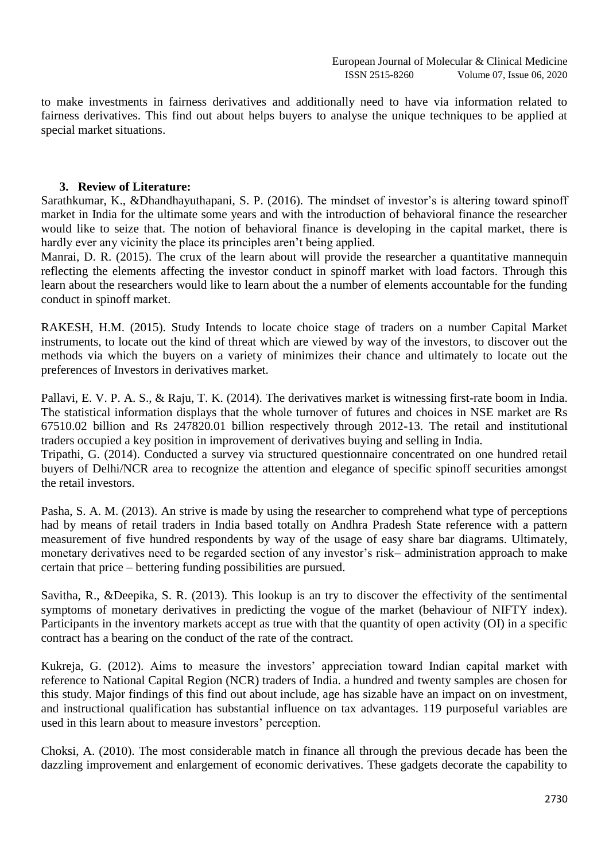to make investments in fairness derivatives and additionally need to have via information related to fairness derivatives. This find out about helps buyers to analyse the unique techniques to be applied at special market situations.

#### **3. Review of Literature:**

Sarathkumar, K., &Dhandhayuthapani, S. P. (2016). The mindset of investor's is altering toward spinoff market in India for the ultimate some years and with the introduction of behavioral finance the researcher would like to seize that. The notion of behavioral finance is developing in the capital market, there is hardly ever any vicinity the place its principles aren't being applied.

Manrai, D. R. (2015). The crux of the learn about will provide the researcher a quantitative mannequin reflecting the elements affecting the investor conduct in spinoff market with load factors. Through this learn about the researchers would like to learn about the a number of elements accountable for the funding conduct in spinoff market.

RAKESH, H.M. (2015). Study Intends to locate choice stage of traders on a number Capital Market instruments, to locate out the kind of threat which are viewed by way of the investors, to discover out the methods via which the buyers on a variety of minimizes their chance and ultimately to locate out the preferences of Investors in derivatives market.

Pallavi, E. V. P. A. S., & Raju, T. K. (2014). The derivatives market is witnessing first-rate boom in India. The statistical information displays that the whole turnover of futures and choices in NSE market are Rs 67510.02 billion and Rs 247820.01 billion respectively through 2012-13. The retail and institutional traders occupied a key position in improvement of derivatives buying and selling in India.

Tripathi, G. (2014). Conducted a survey via structured questionnaire concentrated on one hundred retail buyers of Delhi/NCR area to recognize the attention and elegance of specific spinoff securities amongst the retail investors.

Pasha, S. A. M. (2013). An strive is made by using the researcher to comprehend what type of perceptions had by means of retail traders in India based totally on Andhra Pradesh State reference with a pattern measurement of five hundred respondents by way of the usage of easy share bar diagrams. Ultimately, monetary derivatives need to be regarded section of any investor's risk– administration approach to make certain that price – bettering funding possibilities are pursued.

Savitha, R., &Deepika, S. R. (2013). This lookup is an try to discover the effectivity of the sentimental symptoms of monetary derivatives in predicting the vogue of the market (behaviour of NIFTY index). Participants in the inventory markets accept as true with that the quantity of open activity (OI) in a specific contract has a bearing on the conduct of the rate of the contract.

Kukreja, G. (2012). Aims to measure the investors' appreciation toward Indian capital market with reference to National Capital Region (NCR) traders of India. a hundred and twenty samples are chosen for this study. Major findings of this find out about include, age has sizable have an impact on on investment, and instructional qualification has substantial influence on tax advantages. 119 purposeful variables are used in this learn about to measure investors' perception.

Choksi, A. (2010). The most considerable match in finance all through the previous decade has been the dazzling improvement and enlargement of economic derivatives. These gadgets decorate the capability to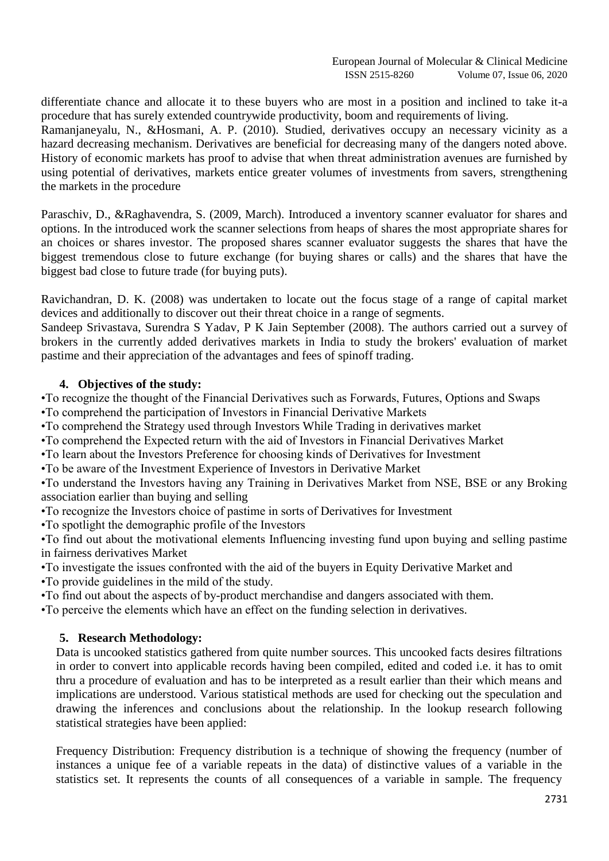differentiate chance and allocate it to these buyers who are most in a position and inclined to take it-a procedure that has surely extended countrywide productivity, boom and requirements of living.

Ramanjaneyalu, N., &Hosmani, A. P. (2010). Studied, derivatives occupy an necessary vicinity as a hazard decreasing mechanism. Derivatives are beneficial for decreasing many of the dangers noted above. History of economic markets has proof to advise that when threat administration avenues are furnished by using potential of derivatives, markets entice greater volumes of investments from savers, strengthening the markets in the procedure

Paraschiv, D., &Raghavendra, S. (2009, March). Introduced a inventory scanner evaluator for shares and options. In the introduced work the scanner selections from heaps of shares the most appropriate shares for an choices or shares investor. The proposed shares scanner evaluator suggests the shares that have the biggest tremendous close to future exchange (for buying shares or calls) and the shares that have the biggest bad close to future trade (for buying puts).

Ravichandran, D. K. (2008) was undertaken to locate out the focus stage of a range of capital market devices and additionally to discover out their threat choice in a range of segments.

Sandeep Srivastava, Surendra S Yadav, P K Jain September (2008). The authors carried out a survey of brokers in the currently added derivatives markets in India to study the brokers' evaluation of market pastime and their appreciation of the advantages and fees of spinoff trading.

# **4. Objectives of the study:**

•To recognize the thought of the Financial Derivatives such as Forwards, Futures, Options and Swaps •To comprehend the participation of Investors in Financial Derivative Markets

•To comprehend the Strategy used through Investors While Trading in derivatives market

•To comprehend the Expected return with the aid of Investors in Financial Derivatives Market

•To learn about the Investors Preference for choosing kinds of Derivatives for Investment

•To be aware of the Investment Experience of Investors in Derivative Market

•To understand the Investors having any Training in Derivatives Market from NSE, BSE or any Broking association earlier than buying and selling

•To recognize the Investors choice of pastime in sorts of Derivatives for Investment

•To spotlight the demographic profile of the Investors

•To find out about the motivational elements Influencing investing fund upon buying and selling pastime in fairness derivatives Market

•To investigate the issues confronted with the aid of the buyers in Equity Derivative Market and

•To provide guidelines in the mild of the study.

•To find out about the aspects of by-product merchandise and dangers associated with them.

•To perceive the elements which have an effect on the funding selection in derivatives.

# **5. Research Methodology:**

Data is uncooked statistics gathered from quite number sources. This uncooked facts desires filtrations in order to convert into applicable records having been compiled, edited and coded i.e. it has to omit thru a procedure of evaluation and has to be interpreted as a result earlier than their which means and implications are understood. Various statistical methods are used for checking out the speculation and drawing the inferences and conclusions about the relationship. In the lookup research following statistical strategies have been applied:

Frequency Distribution: Frequency distribution is a technique of showing the frequency (number of instances a unique fee of a variable repeats in the data) of distinctive values of a variable in the statistics set. It represents the counts of all consequences of a variable in sample. The frequency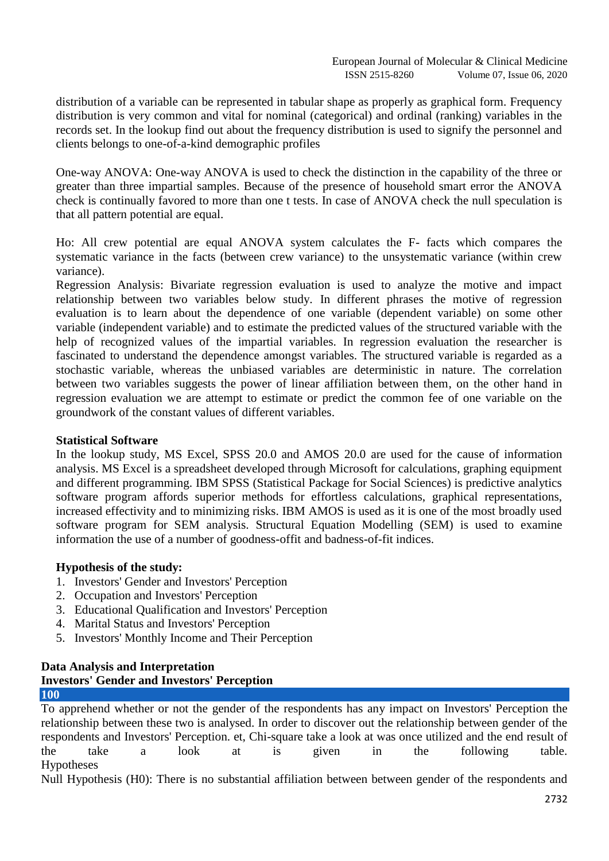distribution of a variable can be represented in tabular shape as properly as graphical form. Frequency distribution is very common and vital for nominal (categorical) and ordinal (ranking) variables in the records set. In the lookup find out about the frequency distribution is used to signify the personnel and clients belongs to one-of-a-kind demographic profiles

One-way ANOVA: One-way ANOVA is used to check the distinction in the capability of the three or greater than three impartial samples. Because of the presence of household smart error the ANOVA check is continually favored to more than one t tests. In case of ANOVA check the null speculation is that all pattern potential are equal.

Ho: All crew potential are equal ANOVA system calculates the F- facts which compares the systematic variance in the facts (between crew variance) to the unsystematic variance (within crew variance).

Regression Analysis: Bivariate regression evaluation is used to analyze the motive and impact relationship between two variables below study. In different phrases the motive of regression evaluation is to learn about the dependence of one variable (dependent variable) on some other variable (independent variable) and to estimate the predicted values of the structured variable with the help of recognized values of the impartial variables. In regression evaluation the researcher is fascinated to understand the dependence amongst variables. The structured variable is regarded as a stochastic variable, whereas the unbiased variables are deterministic in nature. The correlation between two variables suggests the power of linear affiliation between them, on the other hand in regression evaluation we are attempt to estimate or predict the common fee of one variable on the groundwork of the constant values of different variables.

#### **Statistical Software**

In the lookup study, MS Excel, SPSS 20.0 and AMOS 20.0 are used for the cause of information analysis. MS Excel is a spreadsheet developed through Microsoft for calculations, graphing equipment and different programming. IBM SPSS (Statistical Package for Social Sciences) is predictive analytics software program affords superior methods for effortless calculations, graphical representations, increased effectivity and to minimizing risks. IBM AMOS is used as it is one of the most broadly used software program for SEM analysis. Structural Equation Modelling (SEM) is used to examine information the use of a number of goodness-offit and badness-of-fit indices.

# **Hypothesis of the study:**

- 1. Investors' Gender and Investors' Perception
- 2. Occupation and Investors' Perception
- 3. Educational Qualification and Investors' Perception
- 4. Marital Status and Investors' Perception
- 5. Investors' Monthly Income and Their Perception

# **Data Analysis and Interpretation**

#### **Investors' Gender and Investors' Perception 100**

To apprehend whether or not the gender of the respondents has any impact on Investors' Perception the relationship between these two is analysed. In order to discover out the relationship between gender of the respondents and Investors' Perception. et, Chi-square take a look at was once utilized and the end result of the take a look at is given in the following table. Hypotheses

Null Hypothesis (H0): There is no substantial affiliation between between gender of the respondents and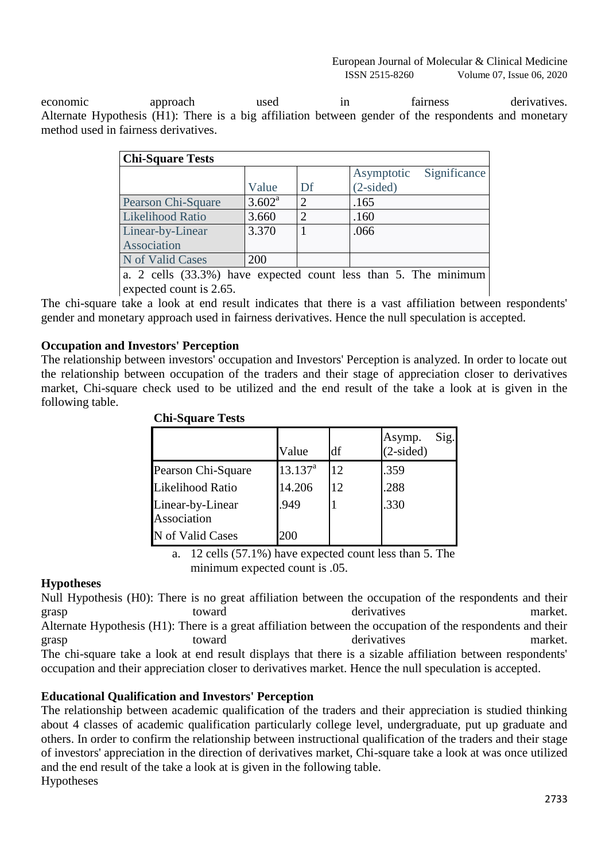economic approach used in fairness derivatives. Alternate Hypothesis (H1): There is a big affiliation between gender of the respondents and monetary method used in fairness derivatives.

| <b>Chi-Square Tests</b>                                          |                 |                |             |              |
|------------------------------------------------------------------|-----------------|----------------|-------------|--------------|
|                                                                  |                 |                | Asymptotic  | Significance |
|                                                                  | Value           | Df             | $(2-sided)$ |              |
| Pearson Chi-Square                                               | $3.602^{\rm a}$ | 2              | .165        |              |
| <b>Likelihood Ratio</b>                                          | 3.660           | $\overline{2}$ | .160        |              |
| Linear-by-Linear                                                 | 3.370           |                | .066        |              |
| Association                                                      |                 |                |             |              |
| N of Valid Cases                                                 | 200             |                |             |              |
| The minimum<br>a 2 cells (33.3%) have expected count less than 5 |                 |                |             |              |

a. 2 cells (33.3%) have expected count less than 5. The minimum expected count is 2.65.

The chi-square take a look at end result indicates that there is a vast affiliation between respondents' gender and monetary approach used in fairness derivatives. Hence the null speculation is accepted.

# **Occupation and Investors' Perception**

The relationship between investors' occupation and Investors' Perception is analyzed. In order to locate out the relationship between occupation of the traders and their stage of appreciation closer to derivatives market, Chi-square check used to be utilized and the end result of the take a look at is given in the following table.

| CIII-DYUALU TUSIS               |              |    |                               |
|---------------------------------|--------------|----|-------------------------------|
|                                 | Value        | df | Sig.<br>Asymp.<br>$(2-sided)$ |
| Pearson Chi-Square              | $13.137^{a}$ | 12 | .359                          |
| Likelihood Ratio                | 14.206       | 12 | .288                          |
| Linear-by-Linear<br>Association | .949         |    | .330                          |
| N of Valid Cases                | 200          |    |                               |

#### **Chi-Square Tests**

a. 12 cells (57.1%) have expected count less than 5. The minimum expected count is .05.

# **Hypotheses**

Null Hypothesis (H0): There is no great affiliation between the occupation of the respondents and their grasp toward toward derivatives market. Alternate Hypothesis (H1): There is a great affiliation between the occupation of the respondents and their grasp toward toward derivatives market. The chi-square take a look at end result displays that there is a sizable affiliation between respondents' occupation and their appreciation closer to derivatives market. Hence the null speculation is accepted.

# **Educational Qualification and Investors' Perception**

The relationship between academic qualification of the traders and their appreciation is studied thinking about 4 classes of academic qualification particularly college level, undergraduate, put up graduate and others. In order to confirm the relationship between instructional qualification of the traders and their stage of investors' appreciation in the direction of derivatives market, Chi-square take a look at was once utilized and the end result of the take a look at is given in the following table. Hypotheses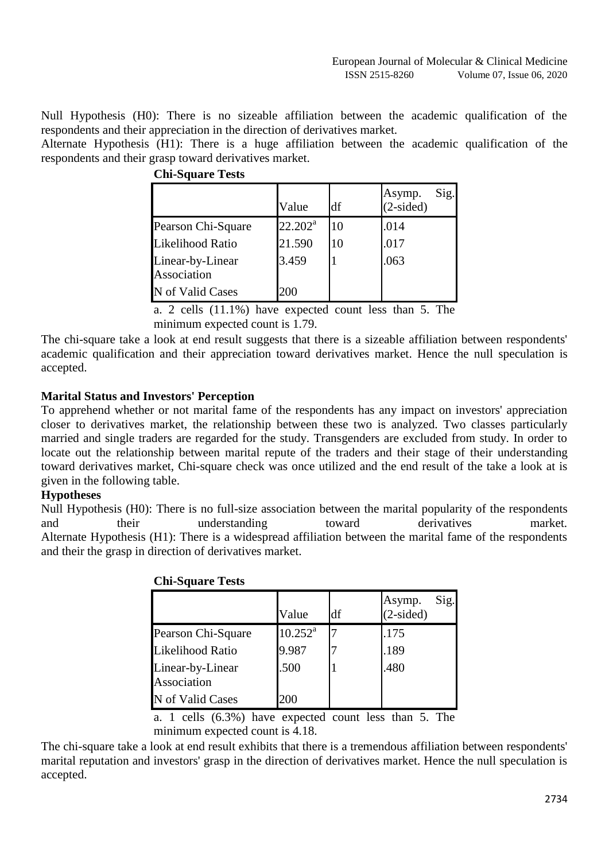Null Hypothesis (H0): There is no sizeable affiliation between the academic qualification of the respondents and their appreciation in the direction of derivatives market.

Alternate Hypothesis (H1): There is a huge affiliation between the academic qualification of the respondents and their grasp toward derivatives market.

|                                 | Value      | df | Sig.<br>Asymp.<br>$(2-sided)$ |
|---------------------------------|------------|----|-------------------------------|
| Pearson Chi-Square              | $22.202^a$ | 10 | .014                          |
| Likelihood Ratio                | 21.590     | 10 | .017                          |
| Linear-by-Linear<br>Association | 3.459      |    | .063                          |
| N of Valid Cases                | 200        |    |                               |

| <b>Chi-Square Tests</b> |  |
|-------------------------|--|
|                         |  |

a. 2 cells (11.1%) have expected count less than 5. The minimum expected count is 1.79.

The chi-square take a look at end result suggests that there is a sizeable affiliation between respondents' academic qualification and their appreciation toward derivatives market. Hence the null speculation is accepted.

# **Marital Status and Investors' Perception**

To apprehend whether or not marital fame of the respondents has any impact on investors' appreciation closer to derivatives market, the relationship between these two is analyzed. Two classes particularly married and single traders are regarded for the study. Transgenders are excluded from study. In order to locate out the relationship between marital repute of the traders and their stage of their understanding toward derivatives market, Chi-square check was once utilized and the end result of the take a look at is given in the following table.

# **Hypotheses**

Null Hypothesis (H0): There is no full-size association between the marital popularity of the respondents and their understanding toward derivatives market. Alternate Hypothesis (H1): There is a widespread affiliation between the marital fame of the respondents and their the grasp in direction of derivatives market.

|                                 | Value               | df | Sig.<br>Asymp.<br>$(2-sided)$ |
|---------------------------------|---------------------|----|-------------------------------|
| Pearson Chi-Square              | $10.252^{\text{a}}$ |    | .175                          |
| Likelihood Ratio                | 9.987               |    | .189                          |
| Linear-by-Linear<br>Association | .500                |    | .480                          |
| N of Valid Cases                | 200                 |    |                               |

#### **Chi-Square Tests**

a. 1 cells (6.3%) have expected count less than 5. The minimum expected count is 4.18.

The chi-square take a look at end result exhibits that there is a tremendous affiliation between respondents' marital reputation and investors' grasp in the direction of derivatives market. Hence the null speculation is accepted.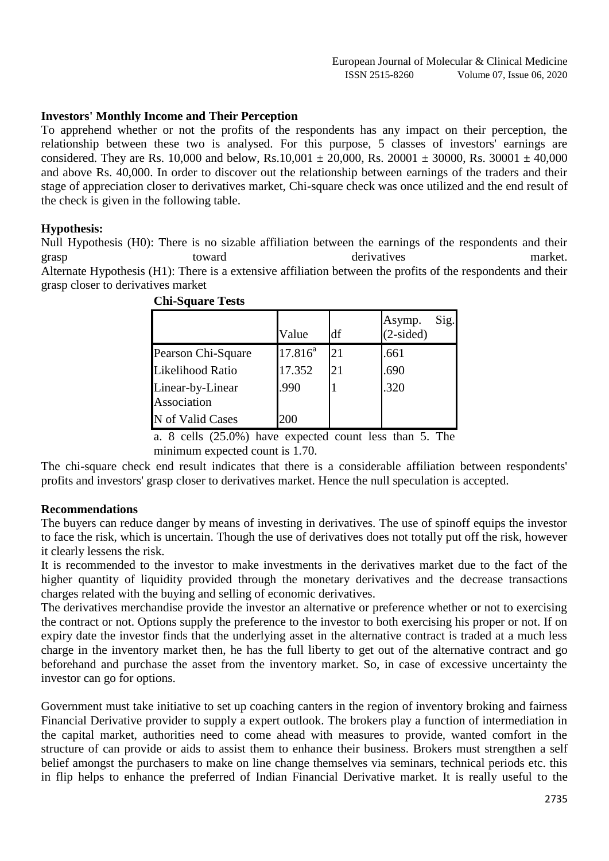## **Investors' Monthly Income and Their Perception**

To apprehend whether or not the profits of the respondents has any impact on their perception, the relationship between these two is analysed. For this purpose, 5 classes of investors' earnings are considered. They are Rs. 10,000 and below, Rs.10,001  $\pm$  20,000, Rs. 20001  $\pm$  30000, Rs. 30001  $\pm$  40,000 and above Rs. 40,000. In order to discover out the relationship between earnings of the traders and their stage of appreciation closer to derivatives market, Chi-square check was once utilized and the end result of the check is given in the following table.

## **Hypothesis:**

Null Hypothesis (H0): There is no sizable affiliation between the earnings of the respondents and their grasp toward toward derivatives market. Alternate Hypothesis (H1): There is a extensive affiliation between the profits of the respondents and their grasp closer to derivatives market

|                                 | Value      | df | Sig.<br>Asymp.<br>$(2-sided)$ |
|---------------------------------|------------|----|-------------------------------|
| Pearson Chi-Square              | $17.816^a$ | 21 | .661                          |
| Likelihood Ratio                | 17.352     | 21 | .690                          |
| Linear-by-Linear<br>Association | .990       |    | .320                          |
| N of Valid Cases                | 200        |    |                               |

| <b>Chi-Square Tests</b> |  |
|-------------------------|--|
|-------------------------|--|

a. 8 cells (25.0%) have expected count less than 5. The minimum expected count is 1.70.

The chi-square check end result indicates that there is a considerable affiliation between respondents' profits and investors' grasp closer to derivatives market. Hence the null speculation is accepted.

#### **Recommendations**

The buyers can reduce danger by means of investing in derivatives. The use of spinoff equips the investor to face the risk, which is uncertain. Though the use of derivatives does not totally put off the risk, however it clearly lessens the risk.

It is recommended to the investor to make investments in the derivatives market due to the fact of the higher quantity of liquidity provided through the monetary derivatives and the decrease transactions charges related with the buying and selling of economic derivatives.

The derivatives merchandise provide the investor an alternative or preference whether or not to exercising the contract or not. Options supply the preference to the investor to both exercising his proper or not. If on expiry date the investor finds that the underlying asset in the alternative contract is traded at a much less charge in the inventory market then, he has the full liberty to get out of the alternative contract and go beforehand and purchase the asset from the inventory market. So, in case of excessive uncertainty the investor can go for options.

Government must take initiative to set up coaching canters in the region of inventory broking and fairness Financial Derivative provider to supply a expert outlook. The brokers play a function of intermediation in the capital market, authorities need to come ahead with measures to provide, wanted comfort in the structure of can provide or aids to assist them to enhance their business. Brokers must strengthen a self belief amongst the purchasers to make on line change themselves via seminars, technical periods etc. this in flip helps to enhance the preferred of Indian Financial Derivative market. It is really useful to the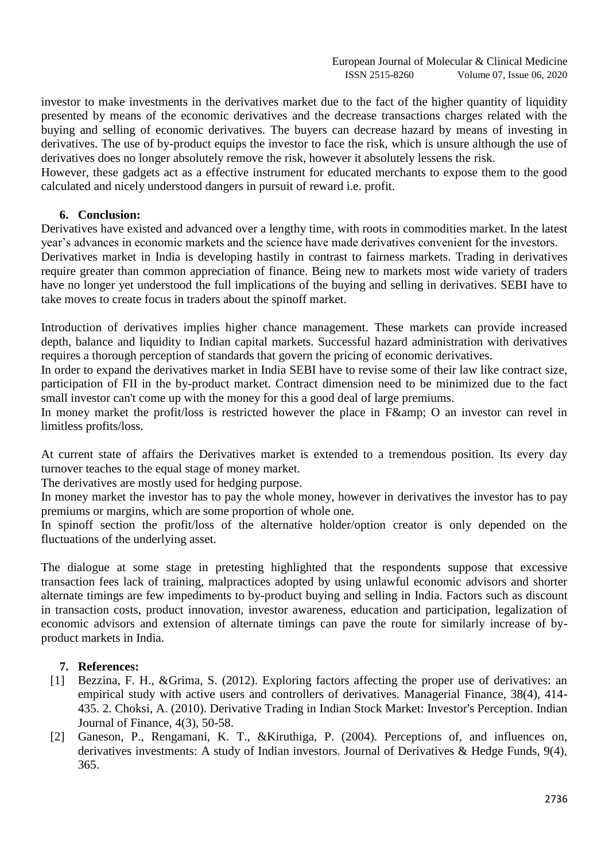investor to make investments in the derivatives market due to the fact of the higher quantity of liquidity presented by means of the economic derivatives and the decrease transactions charges related with the buying and selling of economic derivatives. The buyers can decrease hazard by means of investing in derivatives. The use of by-product equips the investor to face the risk, which is unsure although the use of derivatives does no longer absolutely remove the risk, however it absolutely lessens the risk.

However, these gadgets act as a effective instrument for educated merchants to expose them to the good calculated and nicely understood dangers in pursuit of reward i.e. profit.

## **6. Conclusion:**

Derivatives have existed and advanced over a lengthy time, with roots in commodities market. In the latest year's advances in economic markets and the science have made derivatives convenient for the investors.

Derivatives market in India is developing hastily in contrast to fairness markets. Trading in derivatives require greater than common appreciation of finance. Being new to markets most wide variety of traders have no longer yet understood the full implications of the buying and selling in derivatives. SEBI have to take moves to create focus in traders about the spinoff market.

Introduction of derivatives implies higher chance management. These markets can provide increased depth, balance and liquidity to Indian capital markets. Successful hazard administration with derivatives requires a thorough perception of standards that govern the pricing of economic derivatives.

In order to expand the derivatives market in India SEBI have to revise some of their law like contract size, participation of FII in the by-product market. Contract dimension need to be minimized due to the fact small investor can't come up with the money for this a good deal of large premiums.

In money market the profit/loss is restricted however the place in  $F\&$ ; O an investor can revel in limitless profits/loss.

At current state of affairs the Derivatives market is extended to a tremendous position. Its every day turnover teaches to the equal stage of money market.

The derivatives are mostly used for hedging purpose.

In money market the investor has to pay the whole money, however in derivatives the investor has to pay premiums or margins, which are some proportion of whole one.

In spinoff section the profit/loss of the alternative holder/option creator is only depended on the fluctuations of the underlying asset.

The dialogue at some stage in pretesting highlighted that the respondents suppose that excessive transaction fees lack of training, malpractices adopted by using unlawful economic advisors and shorter alternate timings are few impediments to by-product buying and selling in India. Factors such as discount in transaction costs, product innovation, investor awareness, education and participation, legalization of economic advisors and extension of alternate timings can pave the route for similarly increase of byproduct markets in India.

# **7. References:**

- [1] Bezzina, F. H., &Grima, S. (2012). Exploring factors affecting the proper use of derivatives: an empirical study with active users and controllers of derivatives. Managerial Finance, 38(4), 414- 435. 2. Choksi, A. (2010). Derivative Trading in Indian Stock Market: Investor's Perception. Indian Journal of Finance, 4(3), 50-58.
- [2] Ganeson, P., Rengamani, K. T., &Kiruthiga, P. (2004). Perceptions of, and influences on, derivatives investments: A study of Indian investors. Journal of Derivatives & Hedge Funds, 9(4), 365.